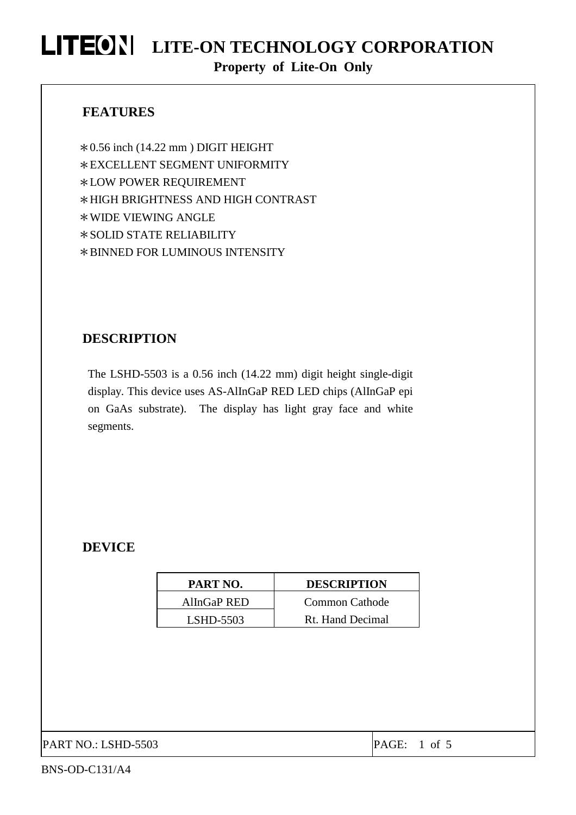#### **FEATURES**

 $*0.56$  inch (14.22 mm) DIGIT HEIGHT \*EXCELLENT SEGMENT UNIFORMITY \*LOW POWER REQUIREMENT \*HIGH BRIGHTNESS AND HIGH CONTRAST \*WIDE VIEWING ANGLE \*SOLID STATE RELIABILITY \*BINNED FOR LUMINOUS INTENSITY

#### **DESCRIPTION**

The LSHD-5503 is a 0.56 inch (14.22 mm) digit height single-digit display. This device uses AS-AlInGaP RED LED chips (AlInGaP epi on GaAs substrate). The display has light gray face and white segments.

#### **DEVICE**

| PART NO.    | <b>DESCRIPTION</b>    |
|-------------|-----------------------|
| AlInGaP RED | <b>Common Cathode</b> |
| $LSHD-5503$ | Rt. Hand Decimal      |

PART NO.: LSHD-5503 PART NO.: 1 of 5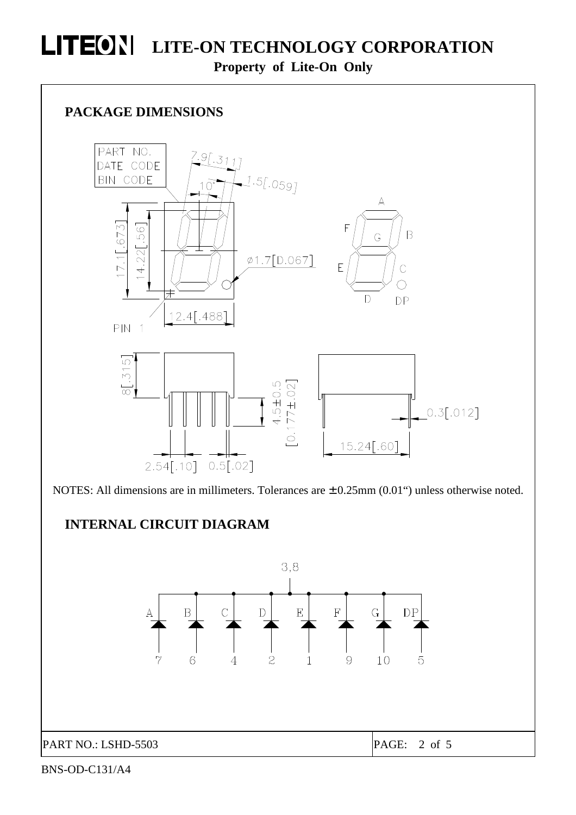

NOTES: All dimensions are in millimeters. Tolerances are  $\pm$  0.25mm (0.01") unless otherwise noted.

### **INTERNAL CIRCUIT DIAGRAM**



BNS-OD-C131/A4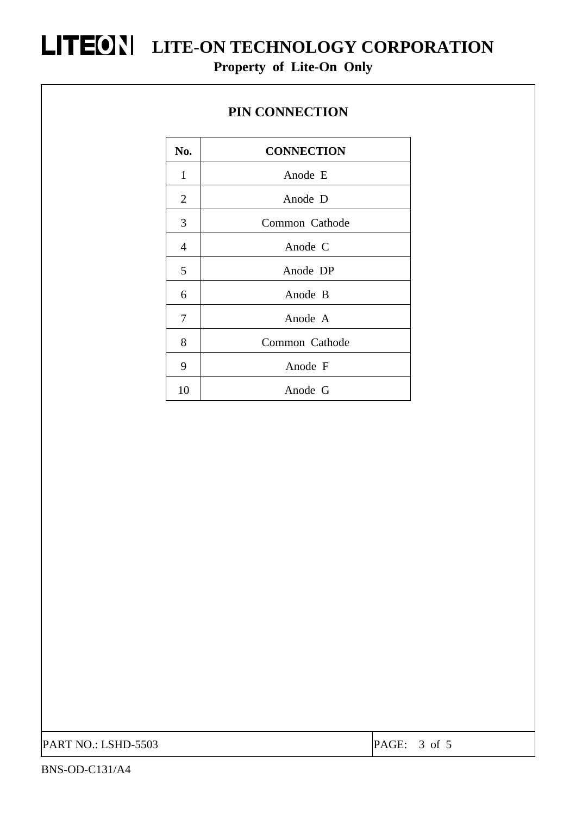#### **PIN CONNECTION**

| No.            | <b>CONNECTION</b> |  |  |  |  |
|----------------|-------------------|--|--|--|--|
| $\mathbf{1}$   | Anode E           |  |  |  |  |
| $\overline{2}$ | Anode D           |  |  |  |  |
| 3              | Common Cathode    |  |  |  |  |
| 4              | Anode C           |  |  |  |  |
| 5              | Anode DP          |  |  |  |  |
| 6              | Anode B           |  |  |  |  |
| 7              | Anode A           |  |  |  |  |
| 8              | Common Cathode    |  |  |  |  |
| 9              | Anode F           |  |  |  |  |
| 10             | Anode G           |  |  |  |  |

PART NO.: LSHD-5503 PAGE: 3 of 5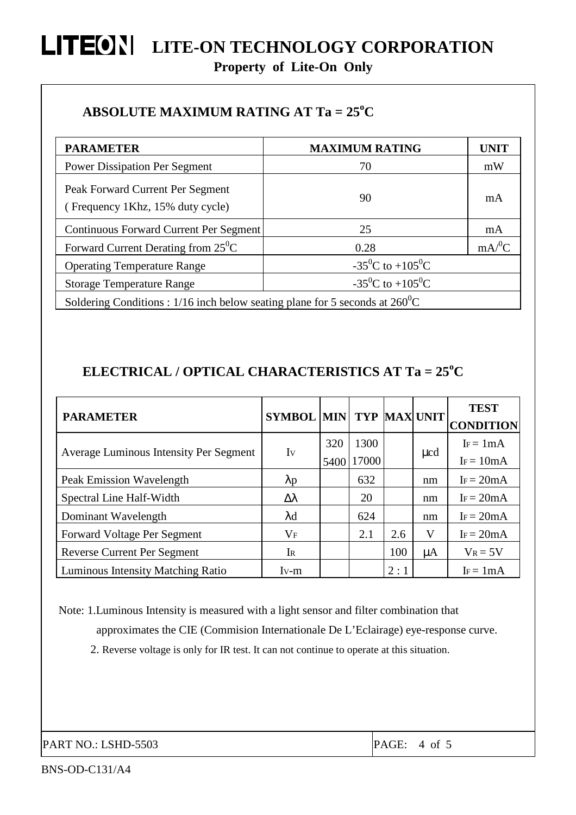#### **ABSOLUTE MAXIMUM RATING AT Ta = 25<sup>o</sup>C**

| <b>PARAMETER</b>                                                                      | <b>MAXIMUM RATING</b>                     | <b>UNIT</b>         |  |  |  |  |
|---------------------------------------------------------------------------------------|-------------------------------------------|---------------------|--|--|--|--|
| <b>Power Dissipation Per Segment</b>                                                  | 70                                        | mW                  |  |  |  |  |
| Peak Forward Current Per Segment<br>(Frequency 1Khz, 15% duty cycle)                  | 90                                        | mA                  |  |  |  |  |
| Continuous Forward Current Per Segment                                                | 25                                        | mA                  |  |  |  |  |
| Forward Current Derating from $25^{\circ}$ C                                          | 0.28                                      | $mA$ <sup>0</sup> C |  |  |  |  |
| <b>Operating Temperature Range</b>                                                    | $-35^{\circ}$ C to $+105^{\circ}$ C       |                     |  |  |  |  |
| <b>Storage Temperature Range</b>                                                      | -35 <sup>0</sup> C to +105 <sup>0</sup> C |                     |  |  |  |  |
| Soldering Conditions : 1/16 inch below seating plane for 5 seconds at $260^{\circ}$ C |                                           |                     |  |  |  |  |

### **ELECTRICAL / OPTICAL CHARACTERISTICS AT Ta = 25<sup>o</sup>C**

| <b>PARAMETER</b>                              | <b>SYMBOL MIN</b> |      |       |     | <b>TYP MAX UNIT</b> | <b>TEST</b><br><b>CONDITION</b> |
|-----------------------------------------------|-------------------|------|-------|-----|---------------------|---------------------------------|
| <b>Average Luminous Intensity Per Segment</b> | Iv                | 320  | 1300  |     | $\mu$ cd            | $I_F = 1 mA$                    |
|                                               |                   | 5400 | 17000 |     |                     | $I_F = 10mA$                    |
| Peak Emission Wavelength                      | $\lambda p$       |      | 632   |     | nm                  | $I_F = 20mA$                    |
| Spectral Line Half-Width                      | $\Delta \lambda$  |      | 20    |     | nm                  | $I_F = 20mA$                    |
| Dominant Wavelength                           | $\lambda$ d       |      | 624   |     | nm                  | $IF = 20mA$                     |
| <b>Forward Voltage Per Segment</b>            | $\rm V_F$         |      | 2.1   | 2.6 | V                   | $I_F = 20mA$                    |
| <b>Reverse Current Per Segment</b>            | IR                |      |       | 100 | μA                  | $V_R = 5V$                      |
| <b>Luminous Intensity Matching Ratio</b>      | $Iv-m$            |      |       | 2:1 |                     | $I_F = 1mA$                     |

Note: 1.Luminous Intensity is measured with a light sensor and filter combination that approximates the CIE (Commision Internationale De L'Eclairage) eye-response curve. 2. Reverse voltage is only for IR test. It can not continue to operate at this situation.

PART NO.: LSHD-5503 PART NO.: 1

BNS-OD-C131/A4